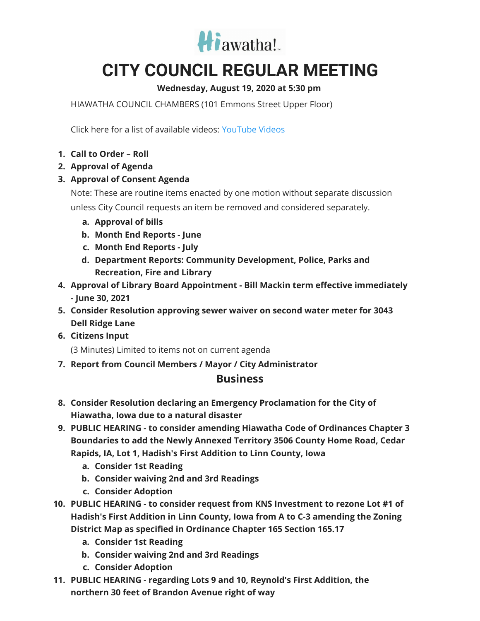

## **CITY COUNCIL REGULAR MEETING**

## **Wednesday, August 19, 2020 at 5:30 pm**

HIAWATHA COUNCIL CHAMBERS (101 Emmons Street Upper Floor)

Click here for a list of available videos: [YouTube](https://www.youtube.com/channel/UC3Vyub-x0FNe8YImqf5XsOQ) Videos

- **1. Call to Order – Roll**
- **2. Approval of Agenda**
- **3. Approval of Consent Agenda**

Note: These are routine items enacted by one motion without separate discussion unless City Council requests an item be removed and considered separately.

- **a. Approval of bills**
- **b. Month End Reports - June**
- **c. Month End Reports - July**
- **d. Department Reports: Community Development, Police, Parks and Recreation, Fire and Library**
- **4. Approval of Library Board Appointment - Bill Mackin term effective immediately - June 30, 2021**
- **5. Consider Resolution approving sewer waiver on second water meter for 3043 Dell Ridge Lane**
- **6. Citizens Input**

(3 Minutes) Limited to items not on current agenda

**7. Report from Council Members / Mayor / City Administrator**

## **Business**

- **8. Consider Resolution declaring an Emergency Proclamation for the City of Hiawatha, Iowa due to a natural disaster**
- **9. PUBLIC HEARING - to consider amending Hiawatha Code of Ordinances Chapter 3 Boundaries to add the Newly Annexed Territory 3506 County Home Road, Cedar Rapids, IA, Lot 1, Hadish's First Addition to Linn County, Iowa**
	- **a. Consider 1st Reading**
	- **b. Consider waiving 2nd and 3rd Readings**
	- **c. Consider Adoption**
- **10. PUBLIC HEARING - to consider request from KNS Investment to rezone Lot #1 of Hadish's First Addition in Linn County, Iowa from A to C-3 amending the Zoning District Map as specified in Ordinance Chapter 165 Section 165.17**
	- **a. Consider 1st Reading**
	- **b. Consider waiving 2nd and 3rd Readings**
	- **c. Consider Adoption**
- **11. PUBLIC HEARING - regarding Lots 9 and 10, Reynold's First Addition, the northern 30 feet of Brandon Avenue right of way**